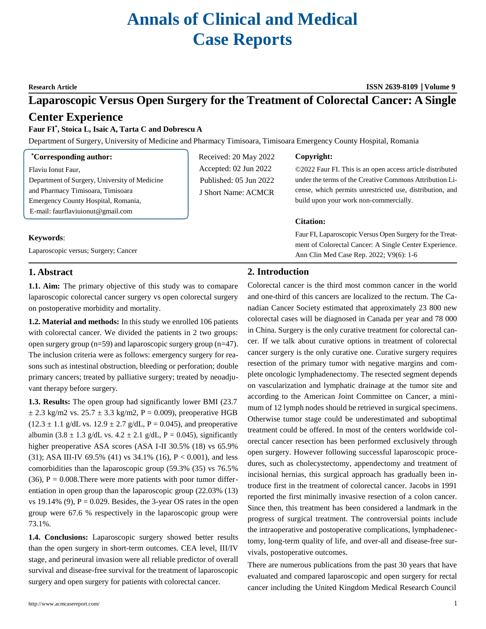# **Annals of Clinical and Medical Case Reports**

## **Research Article ISSN 2639-8109 Volume 9**

## **Laparoscopic Versus Open Surgery for the Treatment of Colorectal Cancer: A Single**

## **Center Experience**

## **Faur FI\* , Stoica L, Isaic A, Tarta C and Dobrescu A**

Department of Surgery, University of Medicine and Pharmacy Timisoara, Timisoara Emergency County Hospital, Romania

## **\*Corresponding author:**

Flaviu Ionut Faur,

Department of Surgery, University of Medicine and Pharmacy Timisoara, Timisoara Emergency County Hospital, Romania, E-mail: [faurflaviuionut@gmail.com](mailto:faurflaviuionut@gmail.com)

## **Keywords**:

Laparoscopic versus; Surgery; Cancer

## Received: 20 May 2022 Accepted: 02 Jun 2022 Published: 05 Jun 2022 J Short Name: ACMCR

## **Copyright:**

©2022 Faur FI. This is an open access article distributed under the terms of the Creative Commons Attribution License, which permits unrestricted use, distribution, and build upon your work non-commercially.

## **Citation:**

Faur FI, Laparoscopic Versus Open Surgery for the Treatment of Colorectal Cancer: A Single Center Experience. Ann Clin Med Case Rep. 2022; V9(6): 1-6

## **1. Abstract**

**1.1. Aim:** The primary objective of this study was to comapare laparoscopic colorectal cancer surgery vs open colorectal surgery on postoperative morbidity and mortality.

**1.2. Material and methods:** In this study we enrolled 106 patients with colorectal cancer. We divided the patients in 2 two groups: open surgery group (n=59) and laparoscopic surgery group (n=47). The inclusion criteria were as follows: emergency surgery for reasons such as intestinal obstruction, bleeding or perforation; double primary cancers; treated by palliative surgery; treated by neoadjuvant therapy before surgery.

**1.3. Results:** The open group had significantly lower BMI (23.7  $\pm$  2.3 kg/m2 vs. 25.7  $\pm$  3.3 kg/m2, P = 0.009), preoperative HGB  $(12.3 \pm 1.1 \text{ g/dL vs. } 12.9 \pm 2.7 \text{ g/dL, P} = 0.045)$ , and preoperative albumin (3.8  $\pm$  1.3 g/dL vs. 4.2  $\pm$  2.1 g/dL, P = 0.045), significantly higher preoperative ASA scores (ASA I-II 30.5% (18) vs 65.9% (31); ASA III-IV 69.5% (41) vs  $34.1\%$  (16), P < 0.001), and less comorbidities than the laparoscopic group (59.3% (35) vs 76.5%  $(36)$ , P = 0.008. There were more patients with poor tumor differentiation in open group than the laparoscopic group (22.03% (13) vs 19.14% (9),  $P = 0.029$ . Besides, the 3-year OS rates in the open group were 67.6 % respectively in the laparoscopic group were 73.1%.

**1.4. Conclusions:** Laparoscopic surgery showed better results than the open surgery in short-term outcomes. CEA level, III/IV stage, and perineural invasion were all reliable predictor of overall survival and disease-free survival for the treatment of laparoscopic surgery and open surgery for patients with colorectal cancer.

## **2. Introduction**

Colorectal cancer is the third most common cancer in the world and one-third of this cancers are localized to the rectum. The Canadian Cancer Society estimated that approximately 23 800 new colorectal cases will be diagnosed in Canada per year and 78 000 in China. Surgery is the only curative treatment for colorectal cancer. If we talk about curative options in treatment of colorectal cancer surgery is the only curative one. Curative surgery requires resection of the primary tumor with negative margins and complete oncologic lymphadenectomy. The resected segment depends on vascularization and lymphatic drainage at the tumor site and according to the American Joint Committee on Cancer, a minimum of 12 lymph nodes should be retrieved in surgical specimens. Otherwise tumor stage could be underestimated and suboptimal treatment could be offered. In most of the centers worldwide colorectal cancer resection has been performed exclusively through open surgery. However following successful laparoscopic procedures, such as cholecystectomy, appendectomy and treatment of incisional hernias, this surgical approach has gradually been introduce first in the treatment of colorectal cancer. Jacobs in 1991 reported the first minimally invasive resection of a colon cancer. Since then, this treatment has been considered a landmark in the progress of surgical treatment. The controversial points include the intraoperative and postoperative complications, lymphadenectomy, long-term quality of life, and over-all and disease-free survivals, postoperative outcomes.

There are numerous publications from the past 30 years that have evaluated and compared laparoscopic and open surgery for rectal cancer including the United Kingdom Medical Research Council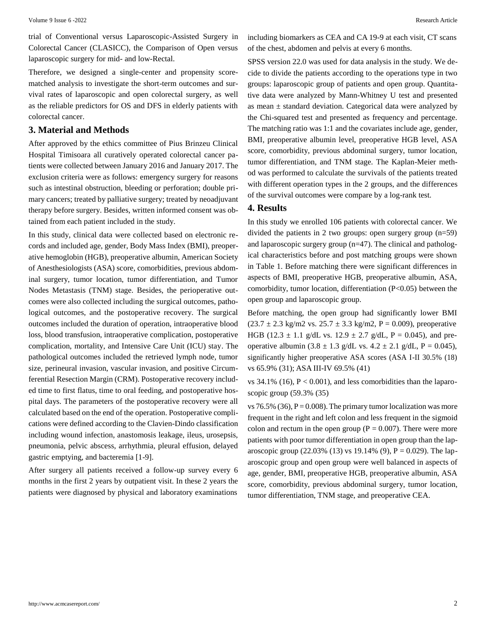trial of Conventional versus Laparoscopic-Assisted Surgery in Colorectal Cancer (CLASICC), the Comparison of Open versus laparoscopic surgery for mid- and low-Rectal.

Therefore, we designed a single-center and propensity scorematched analysis to investigate the short-term outcomes and survival rates of laparoscopic and open colorectal surgery, as well as the reliable predictors for OS and DFS in elderly patients with colorectal cancer.

#### **3. Material and Methods**

After approved by the ethics committee of Pius Brinzeu Clinical Hospital Timisoara all curatively operated colorectal cancer patients were collected between January 2016 and January 2017. The exclusion criteria were as follows: emergency surgery for reasons such as intestinal obstruction, bleeding or perforation; double primary cancers; treated by palliative surgery; treated by neoadjuvant therapy before surgery. Besides, written informed consent was obtained from each patient included in the study.

In this study, clinical data were collected based on electronic records and included age, gender, Body Mass Index (BMI), preoperative hemoglobin (HGB), preoperative albumin, American Society of Anesthesiologists (ASA) score, comorbidities, previous abdominal surgery, tumor location, tumor differentiation, and Tumor Nodes Metastasis (TNM) stage. Besides, the perioperative outcomes were also collected including the surgical outcomes, pathological outcomes, and the postoperative recovery. The surgical outcomes included the duration of operation, intraoperative blood loss, blood transfusion, intraoperative complication, postoperative complication, mortality, and Intensive Care Unit (ICU) stay. The pathological outcomes included the retrieved lymph node, tumor size, perineural invasion, vascular invasion, and positive Circumferential Resection Margin (CRM). Postoperative recovery included time to first flatus, time to oral feeding, and postoperative hospital days. The parameters of the postoperative recovery were all calculated based on the end of the operation. Postoperative complications were defined according to the Clavien-Dindo classification including wound infection, anastomosis leakage, ileus, urosepsis, pneumonia, pelvic abscess, arrhythmia, pleural effusion, delayed gastric emptying, and bacteremia [1-9].

After surgery all patients received a follow-up survey every 6 months in the first 2 years by outpatient visit. In these 2 years the patients were diagnosed by physical and laboratory examinations

including biomarkers as CEA and CA 19-9 at each visit, CT scans of the chest, abdomen and pelvis at every 6 months.

SPSS version 22.0 was used for data analysis in the study. We decide to divide the patients according to the operations type in two groups: laparoscopic group of patients and open group. Quantitative data were analyzed by Mann-Whitney U test and presented as mean  $\pm$  standard deviation. Categorical data were analyzed by the Chi-squared test and presented as frequency and percentage. The matching ratio was 1:1 and the covariates include age, gender, BMI, preoperative albumin level, preoperative HGB level, ASA score, comorbidity, previous abdominal surgery, tumor location, tumor differentiation, and TNM stage. The Kaplan-Meier method was performed to calculate the survivals of the patients treated with different operation types in the 2 groups, and the differences of the survival outcomes were compare by a log-rank test.

## **4. Results**

In this study we enrolled 106 patients with colorectal cancer. We divided the patients in 2 two groups: open surgery group  $(n=59)$ and laparoscopic surgery group (n=47). The clinical and pathological characteristics before and post matching groups were shown in Table 1. Before matching there were significant differences in aspects of BMI, preoperative HGB, preoperative albumin, ASA, comorbidity, tumor location, differentiation (P<0.05) between the open group and laparoscopic group.

Before matching, the open group had significantly lower BMI  $(23.7 \pm 2.3 \text{ kg/m2 vs. } 25.7 \pm 3.3 \text{ kg/m2}, P = 0.009)$ , preoperative HGB (12.3  $\pm$  1.1 g/dL vs. 12.9  $\pm$  2.7 g/dL, P = 0.045), and preoperative albumin (3.8 ± 1.3 g/dL vs.  $4.2 \pm 2.1$  g/dL, P = 0.045), significantly higher preoperative ASA scores (ASA I-II 30.5% (18) vs 65.9% (31); ASA III-IV 69.5% (41)

vs  $34.1\%$  (16),  $P < 0.001$ ), and less comorbidities than the laparoscopic group (59.3% (35)

vs 76.5% (36),  $P = 0.008$ ). The primary tumor localization was more frequent in the right and left colon and less frequent in the sigmoid colon and rectum in the open group ( $P = 0.007$ ). There were more patients with poor tumor differentiation in open group than the laparoscopic group (22.03% (13) vs 19.14% (9),  $P = 0.029$ ). The laparoscopic group and open group were well balanced in aspects of age, gender, BMI, preoperative HGB, preoperative albumin, ASA score, comorbidity, previous abdominal surgery, tumor location, tumor differentiation, TNM stage, and preoperative CEA.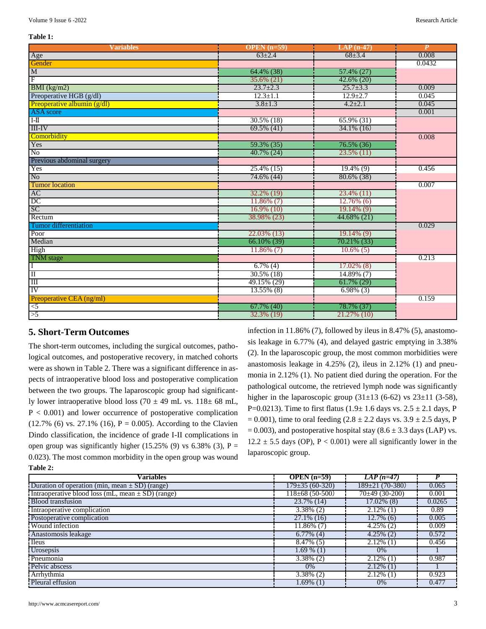#### **Table 1:**

| <b>Variables</b>                                               | OPEN $(n=59)$  | $LAP(n-47)$    | $\boldsymbol{P}$ |
|----------------------------------------------------------------|----------------|----------------|------------------|
| Age<br>Gender                                                  | $63 \pm 2.4$   | $68 + 3.4$     | 0.008            |
|                                                                |                |                | 0.0432           |
| $\frac{\text{M}}{\text{F}}$                                    | 64.4% (38)     | 57.4% (27)     |                  |
|                                                                | 35.6% (21)     | $42.6\%$ (20)  |                  |
| $BMI$ (kg/m2)                                                  | $23.7 \pm 2.3$ | $25.7 \pm 3.3$ | 0.009            |
| Preoperative HGB (g/dl)                                        | $12.3 \pm 1.1$ | $12.9 \pm 2.7$ | 0.045            |
| Preoperative albumin (g/dl)                                    | $3.8 \pm 1.3$  | $4.2 \pm 2.1$  | 0.045            |
| ASA score                                                      |                |                | 0.001            |
| $\frac{1}{1}$                                                  | 30.5% (18)     | $65.9\%$ (31)  |                  |
| <b>III-IV</b>                                                  | $69.5\%$ (41)  | $34.1\%$ (16)  |                  |
| Comorbidity                                                    |                |                | 0.008            |
| Yes                                                            | 59.3% (35)     | 76.5% (36)     |                  |
| $\overline{\text{No}}$                                         | $40.7\%$ (24)  | 23.5% (11)     |                  |
| Previous abdominal surgery                                     |                |                |                  |
| Yes                                                            | 25.4% (15)     | $19.4\%$ (9)   | 0.456            |
| N <sub>o</sub>                                                 | 74.6% (44)     | 80.6% (38)     |                  |
| <b>Tumor</b> location                                          |                |                | 0.007            |
| $\frac{AC}{DC}$                                                | 32.2% (19)     | 23.4% (11)     |                  |
|                                                                | $11.86\%$ (7)  | $12.76\%$ (6)  |                  |
| SC                                                             | $16.9\%$ (10)  | $19.14\%$ (9)  |                  |
| Rectum                                                         | 38.98% (23)    | 44.68% (21)    |                  |
| Tumor differentiation                                          |                |                | 0.029            |
| Poor<br>Median                                                 | 22.03% (13)    | $19.14\%$ (9)  |                  |
|                                                                | 66.10% (39)    | 70.21% (33)    |                  |
| High                                                           | $11.86\%$ (7)  | $10.6\%$ (5)   |                  |
|                                                                |                |                | 0.213            |
|                                                                | $6.7\%$ (4)    | $17.02\%$ (8)  |                  |
|                                                                | $30.5\%$ (18)  | 14.89% (7)     |                  |
| TNM stage<br>I<br>II<br>III                                    | 49.15% (29)    | $61.7\%$ (29)  |                  |
| IV                                                             | 13.55% (8)     | $6.98\%$ (3)   |                  |
|                                                                |                |                | 0.159            |
|                                                                | $67.7\%$ (40)  | 78.7% (37)     |                  |
| $\overline{\smash{>}}\overline{\smash{>}}\overline{\smash{>}}$ | 32.3% (19)     | 21.27% (10)    |                  |

## **5. Short-Term Outcomes**

The short-term outcomes, including the surgical outcomes, pathological outcomes, and postoperative recovery, in matched cohorts were as shown in Table 2. There was a significant difference in aspects of intraoperative blood loss and postoperative complication between the two groups. The laparoscopic group had significantly lower intraoperative blood loss (70  $\pm$  49 mL vs. 118 $\pm$  68 mL,  $P < 0.001$ ) and lower occurrence of postoperative complication  $(12.7\% (6) \text{ vs. } 27.1\% (16), P = 0.005)$ . According to the Clavien Dindo classification, the incidence of grade I-II complications in open group was significantly higher (15.25% (9) vs 6.38% (3),  $P =$ 0.023). The most common morbidity in the open group was wound **Table 2:**

infection in 11.86% (7), followed by ileus in 8.47% (5), anastomosis leakage in 6.77% (4), and delayed gastric emptying in 3.38% (2). In the laparoscopic group, the most common morbidities were anastomosis leakage in 4.25% (2), ileus in 2.12% (1) and pneumonia in 2.12% (1). No patient died during the operation. For the pathological outcome, the retrieved lymph node was significantly higher in the laparoscopic group  $(31\pm 13)$  (6-62) vs  $23\pm 11$  (3-58), P=0.0213). Time to first flatus  $(1.9 \pm 1.6$  days vs.  $2.5 \pm 2.1$  days, P  $= 0.001$ ), time to oral feeding (2.8  $\pm$  2.2 days vs. 3.9  $\pm$  2.5 days, P  $= 0.003$ ), and postoperative hospital stay (8.6  $\pm$  3.3 days (LAP) vs.  $12.2 \pm 5.5$  days (OP), P < 0.001) were all significantly lower in the laparoscopic group.

| <b>Variables</b>                                      | OPEN $(n=59)$          | $LAP$ (n=47)            |        |
|-------------------------------------------------------|------------------------|-------------------------|--------|
| Duration of operation (min, mean $\pm$ SD) (range)    | $179 \pm 35(60 - 320)$ | $189 \pm 21(70 - 380)$  | 0.065  |
| Intraoperative blood loss (mL, mean $\pm$ SD) (range) | $118 \pm 68$ (50-500)  | $70\pm 49(30-200)$      | 0.001  |
| <b>Blood</b> transfusion                              | $23.7\%$ (14)          | $17.02\%$ (8)           | 0.0265 |
| Intraoperative complication                           | $3.38\%$ (2)           | $2.12\%$ (1)            | 0.89   |
| Postoperative complication                            | $27.1\%$ (16)          | $\overline{12.7\%}$ (6) | 0.005  |
| <b>Wound</b> infection                                | $11.86\%$ (7)          | $4.25\%$ (2)            | 0.009  |
| Anastomosis leakage                                   | $6.77\%$ (4)           | $4.25\%$ (2)            | 0.572  |
| Heus <sup>-</sup>                                     | $8.47\%$ (5)           | $2.12\%$ (1)            | 0.456  |
| Urosepsis                                             | $1.69\%$ (1)           | $0\%$                   |        |
| Pneumonia                                             | $3.38\%$ (2)           | $2.12\%$ (1)            | 0.987  |
| Pelvic abscess                                        | 0%                     | $2.12\%$ (1)            |        |
| Arrhythmia                                            | $3.38\%$ (2)           | $2.12\%$ (1)            | 0.923  |
| Pleural effusion                                      | $1.69\%$ (1)           | $0\%$                   | 0.477  |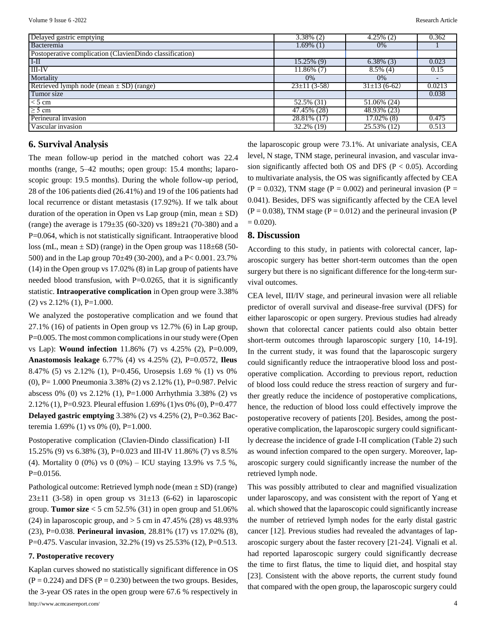| Delayed gastric emptying                                 | $3.38\%$ (2)             | $4.25\%$ (2)              | 0.362  |
|----------------------------------------------------------|--------------------------|---------------------------|--------|
| Bacteremia                                               | $1.69\%$ (1)             | $0\%$                     |        |
| Postoperative complication (ClavienDindo classification) |                          |                           |        |
| I <sub>H</sub>                                           | 15.25% (9)               | $6.38\%$ (3)              | 0.023  |
| <b>III-IV</b>                                            | 11.86% (7)               | $8.5\%$ (4)               | 0.15   |
| Mortality                                                | 0%                       | 0%                        |        |
| Retrieved lymph node (mean $\pm$ SD) (range)             | $23 \pm 11$ (3-58)       | $31\pm13(6-62)$           | 0.0213 |
| Tumor size                                               |                          |                           | 0.038  |
| $<$ 5 cm                                                 | $\overline{52.5\%}$ (31) | $\overline{51.06\%}$ (24) |        |
| $\geq$ 5 cm                                              | 47.45% (28)              | 48.93% (23)               |        |
| Perineural invasion                                      | 28.81% (17)              | 17.02% (8)                | 0.475  |
| Vascular invasion                                        | 32.2% (19)               | 25.53% (12)               | 0.513  |

## **6. Survival Analysis**

The mean follow-up period in the matched cohort was 22.4 months (range, 5–42 mouths; open group: 15.4 months; laparoscopic group: 19.5 months). During the whole follow-up period, 28 of the 106 patients died (26.41%) and 19 of the 106 patients had local recurrence or distant metastasis (17.92%). If we talk about duration of the operation in Open vs Lap group (min, mean  $\pm$  SD) (range) the average is 179±35 (60-320) vs 189±21 (70-380) and a P=0.064, which is not statistically significant. Intraoperative blood loss (mL, mean  $\pm$  SD) (range) in the Open group was 118 $\pm$ 68 (50-500) and in the Lap group 70±49 (30-200), and a P< 0.001. 23.7% (14) in the Open group vs 17.02% (8) in Lap group of patients have needed blood transfusion, with  $P=0.0265$ , that it is significantly statistic. **Intraoperative complication** in Open group were 3.38%  $(2)$  vs 2.12%  $(1)$ , P=1.000.

We analyzed the postoperative complication and we found that  $27.1\%$  (16) of patients in Open group vs 12.7% (6) in Lap group, P=0.005. The most common complications in our study were (Open vs Lap): **Wound infection** 11.86% (7) vs 4.25% (2), P=0.009, **Anastomosis leakage** 6.77% (4) vs 4.25% (2), P=0.0572, **Ileus** 8.47% (5) vs 2.12% (1), P=0.456, Urosepsis 1.69 % (1) vs 0% (0), P= 1.000 Pneumonia 3.38% (2) vs 2.12% (1), P=0.987. Pelvic abscess 0% (0) vs 2.12% (1), P=1.000 Arrhythmia 3.38% (2) vs 2.12% (1), P=0.923. Pleural effusion 1.69% (1)vs 0% (0), P=0.477 **Delayed gastric emptying** 3.38% (2) vs 4.25% (2), P=0.362 Bacteremia 1.69% (1) vs 0% (0), P=1.000.

Postoperative complication (Clavien-Dindo classification) I-II 15.25% (9) vs 6.38% (3), P=0.023 and III-IV 11.86% (7) vs 8.5% (4). Mortality 0 (0%) vs 0 (0%) – ICU staying 13.9% vs 7.5 %,  $P=0.0156$ .

Pathological outcome: Retrieved lymph node (mean ± SD) (range)  $23\pm11$  (3-58) in open group vs  $31\pm13$  (6-62) in laparoscopic group. **Tumor size** < 5 cm 52.5% (31) in open group and 51.06% (24) in laparoscopic group, and  $>$  5 cm in 47.45% (28) vs 48.93% (23), P=0.038. **Perineural invasion**, 28.81% (17) vs 17.02% (8), P=0.475. Vascular invasion, 32.2% (19) vs 25.53% (12), P=0.513.

#### **7. Postoperative recovery**

Kaplan curves showed no statistically significant difference in OS  $(P = 0.224)$  and DFS  $(P = 0.230)$  between the two groups. Besides, the 3-year OS rates in the open group were 67.6 % respectively in

the laparoscopic group were 73.1%. At univariate analysis, CEA level, N stage, TNM stage, perineural invasion, and vascular invasion significantly affected both OS and DFS ( $P < 0.05$ ). According to multivariate analysis, the OS was significantly affected by CEA  $(P = 0.032)$ , TNM stage  $(P = 0.002)$  and perineural invasion  $(P = 0.032)$ 0.041). Besides, DFS was significantly affected by the CEA level  $(P = 0.038)$ , TNM stage  $(P = 0.012)$  and the perineural invasion (P)  $= 0.020$ ).

## **8. Discussion**

According to this study, in patients with colorectal cancer, laparoscopic surgery has better short-term outcomes than the open surgery but there is no significant difference for the long-term survival outcomes.

CEA level, III/IV stage, and perineural invasion were all reliable predictor of overall survival and disease-free survival (DFS) for either laparoscopic or open surgery. Previous studies had already shown that colorectal cancer patients could also obtain better short-term outcomes through laparoscopic surgery [10, 14-19]. In the current study, it was found that the laparoscopic surgery could significantly reduce the intraoperative blood loss and postoperative complication. According to previous report, reduction of blood loss could reduce the stress reaction of surgery and further greatly reduce the incidence of postoperative complications, hence, the reduction of blood loss could effectively improve the postoperative recovery of patients [20]. Besides, among the postoperative complication, the laparoscopic surgery could significantly decrease the incidence of grade I-II complication (Table 2) such as wound infection compared to the open surgery. Moreover, laparoscopic surgery could significantly increase the number of the retrieved lymph node.

This was possibly attributed to clear and magnified visualization under laparoscopy, and was consistent with the report of Yang et al. which showed that the laparoscopic could significantly increase the number of retrieved lymph nodes for the early distal gastric cancer [12]. Previous studies had revealed the advantages of laparoscopic surgery about the faster recovery [21-24]. Vignali et al. had reported laparoscopic surgery could significantly decrease the time to first flatus, the time to liquid diet, and hospital stay [23]. Consistent with the above reports, the current study found that compared with the open group, the laparoscopic surgery could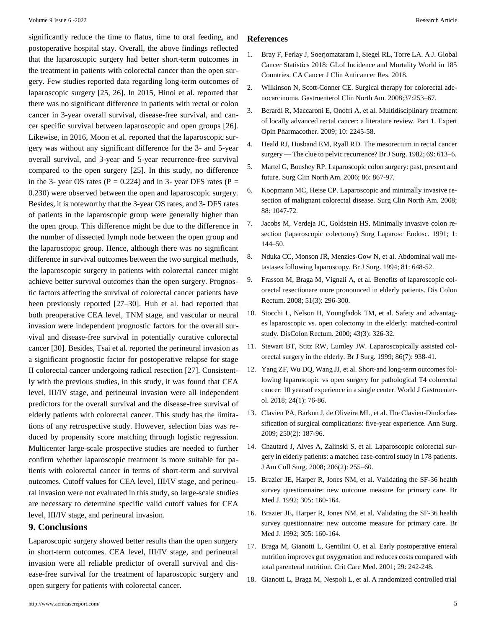significantly reduce the time to flatus, time to oral feeding, and postoperative hospital stay. Overall, the above findings reflected that the laparoscopic surgery had better short-term outcomes in the treatment in patients with colorectal cancer than the open surgery. Few studies reported data regarding long-term outcomes of laparoscopic surgery [25, 26]. In 2015, Hinoi et al. reported that there was no significant difference in patients with rectal or colon cancer in 3-year overall survival, disease-free survival, and cancer specific survival between laparoscopic and open groups [26]. Likewise, in 2016, Moon et al. reported that the laparoscopic surgery was without any significant difference for the 3- and 5-year overall survival, and 3-year and 5-year recurrence-free survival compared to the open surgery [25]. In this study, no difference in the 3- year OS rates ( $P = 0.224$ ) and in 3- year DFS rates ( $P =$ 0.230) were observed between the open and laparoscopic surgery. Besides, it is noteworthy that the 3-year OS rates, and 3- DFS rates of patients in the laparoscopic group were generally higher than the open group. This difference might be due to the difference in the number of dissected lymph node between the open group and the laparoscopic group. Hence, although there was no significant difference in survival outcomes between the two surgical methods, the laparoscopic surgery in patients with colorectal cancer might achieve better survival outcomes than the open surgery. Prognostic factors affecting the survival of colorectal cancer patients have been previously reported [27–30]. Huh et al. had reported that both preoperative CEA level, TNM stage, and vascular or neural invasion were independent prognostic factors for the overall survival and disease-free survival in potentially curative colorectal cancer [30]. Besides, Tsai et al. reported the perineural invasion as a significant prognostic factor for postoperative relapse for stage II colorectal cancer undergoing radical resection [27]. Consistently with the previous studies, in this study, it was found that CEA level, III/IV stage, and perineural invasion were all independent predictors for the overall survival and the disease-free survival of elderly patients with colorectal cancer. This study has the limitations of any retrospective study. However, selection bias was reduced by propensity score matching through logistic regression. Multicenter large-scale prospective studies are needed to further confirm whether laparoscopic treatment is more suitable for patients with colorectal cancer in terms of short-term and survival outcomes. Cutoff values for CEA level, III/IV stage, and perineural invasion were not evaluated in this study, so large-scale studies are necessary to determine specific valid cutoff values for CEA level, III/IV stage, and perineural invasion.

## **9. Conclusions**

Laparoscopic surgery showed better results than the open surgery in short-term outcomes. CEA level, III/IV stage, and perineural invasion were all reliable predictor of overall survival and disease-free survival for the treatment of laparoscopic surgery and open surgery for patients with colorectal cancer.

#### **References**

- 1. Bray F, Ferlay J, [Soerjomataram](https://pubmed.ncbi.nlm.nih.gov/30207593/) I, Siegel RL, Torre LA. A J. Global [Cancer Statistics 2018: GLof Incidence and Mortality World in 185](https://pubmed.ncbi.nlm.nih.gov/30207593/) Countries. CA Cancer J Clin [Anticancer](https://pubmed.ncbi.nlm.nih.gov/30207593/) Res. 2018.
- 2. [Wilkinson N, Scott-Conner CE. Surgical therapy for colorectal ade](https://pubmed.ncbi.nlm.nih.gov/18313549/)nocarcinoma. Gastroenterol Clin North [Am. 2008;37:253–67.](https://pubmed.ncbi.nlm.nih.gov/18313549/)
- 3. [Berardi R, Maccaroni E, Onofri A, et al. Multidisciplinary treatment](https://pubmed.ncbi.nlm.nih.gov/19640208/) [of locally advanced rectal cancer: a literature review. Part 1. Expert](https://pubmed.ncbi.nlm.nih.gov/19640208/) Opin [Pharmacother. 2009;](https://pubmed.ncbi.nlm.nih.gov/19640208/) 10: 2245-58.
- 4. [Heald RJ, Husband EM, Ryall RD. The mesorectum in rectal cancer](https://pubmed.ncbi.nlm.nih.gov/6751457/) surgery — The clue to pelvic [recurrence?](https://pubmed.ncbi.nlm.nih.gov/6751457/) Br J Surg. 1982; 69: 613–6.
- 5. Martel G, Boushey RP. [Laparoscopic](https://pubmed.ncbi.nlm.nih.gov/16905414/) colon surgery: past, present and future. Surg Clin North Am. [2006; 86: 867-97.](https://pubmed.ncbi.nlm.nih.gov/16905414/)
- 6. [Koopmann MC, Heise CP. Laparoscopic and minimally invasive re](https://pubmed.ncbi.nlm.nih.gov/18790154/)[section of malignant colorectal disease. Surg Clin North Am. 2008;](https://pubmed.ncbi.nlm.nih.gov/18790154/) [88: 1047-72.](https://pubmed.ncbi.nlm.nih.gov/18790154/)
- 7. [Jacobs M, Verdeja JC, Goldstein HS. Minimally invasive colon re](https://pubmed.ncbi.nlm.nih.gov/1688289/)[section \(laparoscopic colectomy\) Surg Laparosc Endosc. 1991; 1:](https://pubmed.ncbi.nlm.nih.gov/1688289/) [144–50.](https://pubmed.ncbi.nlm.nih.gov/1688289/)
- 8. [Nduka CC, Monson JR, Menzies-Gow N, et al. Abdominal wall me](https://pubmed.ncbi.nlm.nih.gov/8044537/)tastases following [laparoscopy.](https://pubmed.ncbi.nlm.nih.gov/8044537/) Br J Surg. 1994; 81: 648-52.
- 9. [Frasson M, Braga M, Vignali A, et al. Benefits of laparoscopic col](https://pubmed.ncbi.nlm.nih.gov/18197453/)[orectal resectionare more pronounced in elderly patients. Dis Colon](https://pubmed.ncbi.nlm.nih.gov/18197453/) [Rectum. 2008; 51\(3\): 296-300.](https://pubmed.ncbi.nlm.nih.gov/18197453/)
- 10. Stocchi L, Nelson H, [Youngfadok](https://pubmed.ncbi.nlm.nih.gov/10733113/) TM, et al. Safety and advantag[es laparoscopic vs. open colectomy in the elderly: matched-control](https://pubmed.ncbi.nlm.nih.gov/10733113/) study. DisColon [Rectum. 2000;](https://pubmed.ncbi.nlm.nih.gov/10733113/) 43(3): 326-32.
- 11. [Stewart BT, Stitz RW, Lumley JW. Laparoscopically assisted col](https://pubmed.ncbi.nlm.nih.gov/10417569/)orectal surgery in the elderly. Br J Surg. 1999; 86(7): [938-41.](https://pubmed.ncbi.nlm.nih.gov/10417569/)
- 12. Yang ZF, Wu DQ, Wang JJ, et al. [Short-and](https://www.ncbi.nlm.nih.gov/pmc/articles/PMC5757128/) long-term outcomes fol[lowing laparoscopic vs open surgery for pathological T4 colorectal](https://www.ncbi.nlm.nih.gov/pmc/articles/PMC5757128/) cancer: 10 yearsof experience in a single center. World J [Gastroenter](https://www.ncbi.nlm.nih.gov/pmc/articles/PMC5757128/)[ol. 2018; 24\(1\): 76-86.](https://www.ncbi.nlm.nih.gov/pmc/articles/PMC5757128/)
- 13. Clavien PA, Barkun J, de Oliveira ML, et al. The [Clavien-Dindoclas](https://pubmed.ncbi.nlm.nih.gov/19638912/)[sification of surgical complications: five-year experience. Ann Surg.](https://pubmed.ncbi.nlm.nih.gov/19638912/) [2009; 250\(2\): 187-96.](https://pubmed.ncbi.nlm.nih.gov/19638912/)
- 14. [Chautard J, Alves A, Zalinski S, et al. Laparoscopic colorectal sur](https://pubmed.ncbi.nlm.nih.gov/18222377/)gery in elderly patients: a matched [case-control](https://pubmed.ncbi.nlm.nih.gov/18222377/) study in 178 patients. J Am [Coll Surg. 2008; 206\(2\): 255–60.](https://pubmed.ncbi.nlm.nih.gov/18222377/)
- 15. [Brazier JE, Harper R, Jones NM, et al. Validating the SF-36 health](https://pubmed.ncbi.nlm.nih.gov/1285753/) [survey questionnaire: new outcome measure for primary care. Br](https://pubmed.ncbi.nlm.nih.gov/1285753/) Med J. [1992; 305: 160-164.](https://pubmed.ncbi.nlm.nih.gov/1285753/)
- 16. [Brazier JE, Harper R, Jones NM, et al. Validating the SF-36 health](https://pubmed.ncbi.nlm.nih.gov/1285753/) [survey questionnaire: new outcome measure for primary care. Br](https://pubmed.ncbi.nlm.nih.gov/1285753/) Med J. [1992; 305: 160-164.](https://pubmed.ncbi.nlm.nih.gov/1285753/)
- 17. [Braga M, Gianotti L, Gentilini O, et al. Early postoperative enteral](https://pubmed.ncbi.nlm.nih.gov/11246300/) nutrition improves gut [oxygenation](https://pubmed.ncbi.nlm.nih.gov/11246300/) and reduces costs compared with total [parenteral nutrition. Crit Care Med.](https://pubmed.ncbi.nlm.nih.gov/11246300/) 2001; 29: 242-248.
- 18. Gianotti L, Braga M, Nespoli L, et al. A [randomized](https://pubmed.ncbi.nlm.nih.gov/12055582/) controlled trial